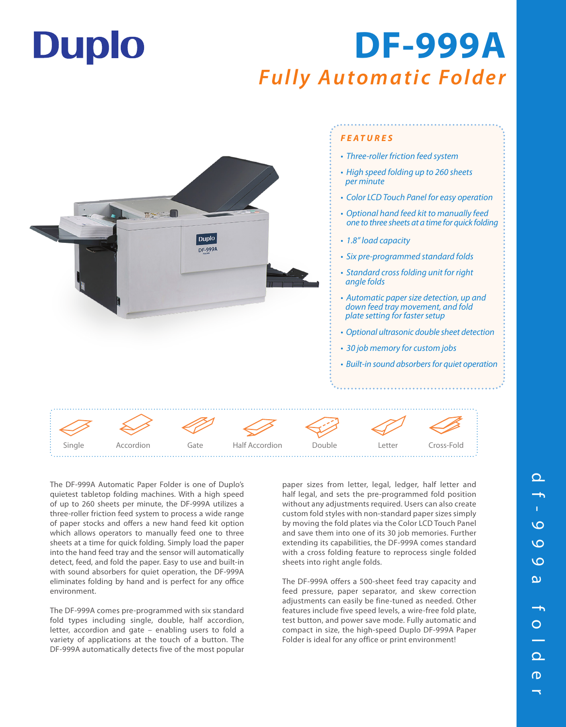## **Duplo**

## *Fully Automatic Folder* **DF-999A**



The DF-999A Automatic Paper Folder is one of Duplo's quietest tabletop folding machines. With a high speed of up to 260 sheets per minute, the DF-999A utilizes a three-roller friction feed system to process a wide range of paper stocks and offers a new hand feed kit option which allows operators to manually feed one to three sheets at a time for quick folding. Simply load the paper into the hand feed tray and the sensor will automatically detect, feed, and fold the paper. Easy to use and built-in with sound absorbers for quiet operation, the DF-999A eliminates folding by hand and is perfect for any office environment.

The DF-999A comes pre-programmed with six standard fold types including single, double, half accordion, letter, accordion and gate – enabling users to fold a variety of applications at the touch of a button. The DF-999A automatically detects five of the most popular

paper sizes from letter, legal, ledger, half letter and half legal, and sets the pre-programmed fold position without any adjustments required. Users can also create custom fold styles with non-standard paper sizes simply by moving the fold plates via the Color LCD Touch Panel and save them into one of its 30 job memories. Further extending its capabilities, the DF-999A comes standard with a cross folding feature to reprocess single folded sheets into right angle folds.

The DF-999A offers a 500-sheet feed tray capacity and feed pressure, paper separator, and skew correction adjustments can easily be fine-tuned as needed. Other features include five speed levels, a wire-free fold plate, test button, and power save mode. Fully automatic and compact in size, the high-speed Duplo DF-999A Paper Folder is ideal for any office or print environment!